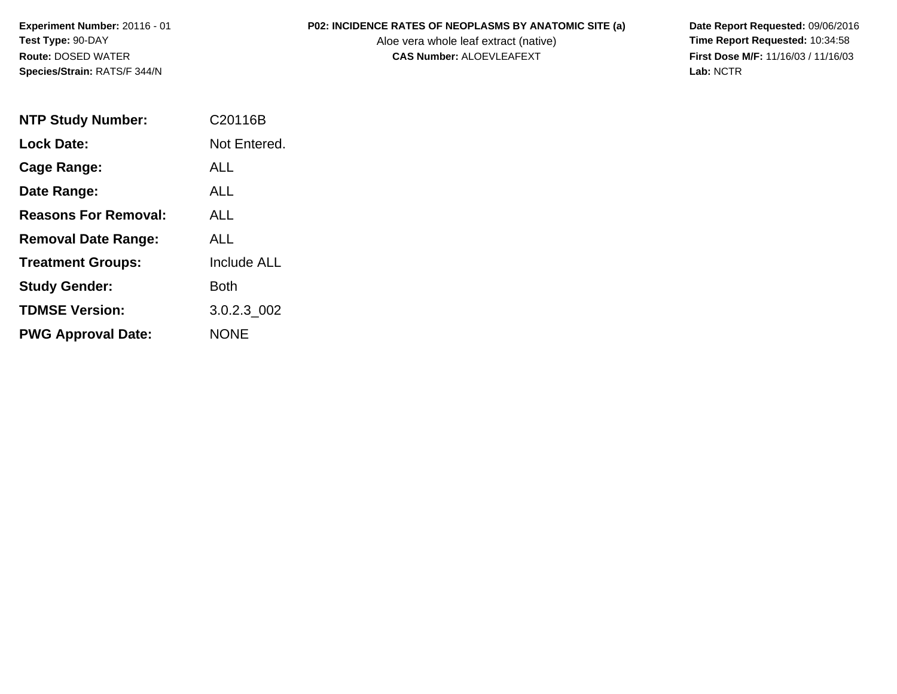Aloe vera whole leaf extract (native)<br>**CAS Number:** ALOEVLEAFEXT

**P02: INCIDENCE RATES OF NEOPLASMS BY ANATOMIC SITE (a)** Date Report Requested: 09/06/2016<br>Aloe vera whole leaf extract (native) **Time Report Requested:** 10:34:58 **First Dose M/F:** 11/16/03 / 11/16/03<br>Lab: NCTR **Lab:** NCTR

| <b>NTP Study Number:</b>    | C20116B      |
|-----------------------------|--------------|
| Lock Date:                  | Not Entered. |
| <b>Cage Range:</b>          | <b>ALL</b>   |
| Date Range:                 | ALL          |
| <b>Reasons For Removal:</b> | ALL          |
| <b>Removal Date Range:</b>  | AI I         |
| <b>Treatment Groups:</b>    | Include ALL  |
| <b>Study Gender:</b>        | Both         |
| <b>TDMSE Version:</b>       | 3.0.2.3 002  |
| <b>PWG Approval Date:</b>   | NONE         |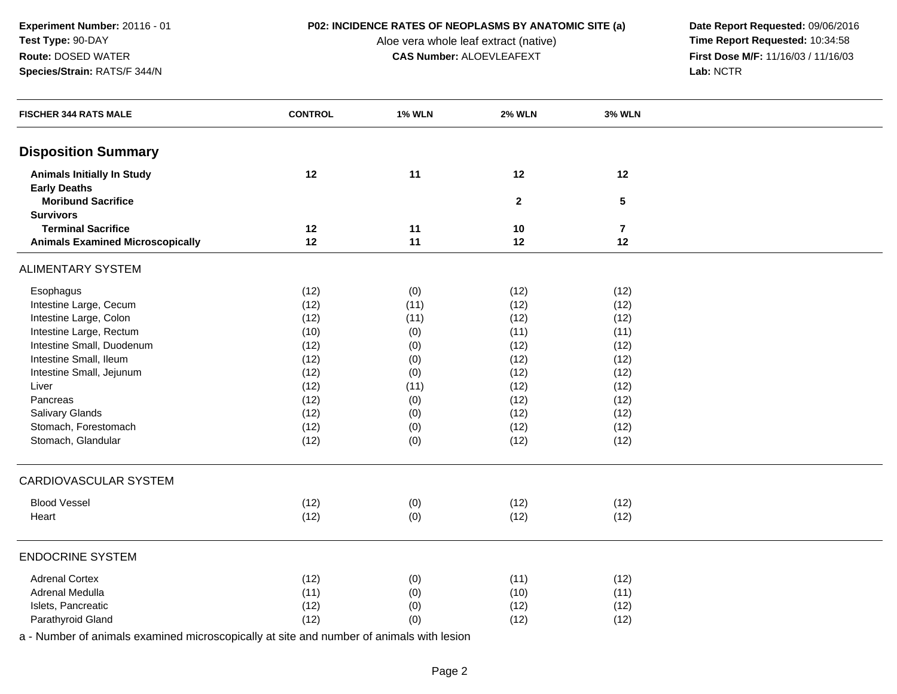**P02: INCIDENCE RATES OF NEOPLASMS BY ANATOMIC SITE (a)** Date Report Requested: 09/06/2016<br>Aloe vera whole leaf extract (native) **Time Report Requested:** 10:34:58 Aloe vera whole leaf extract (native) **Time Report Requested:** 10:34:58<br>**CAS Number:** ALOEVLEAFEXT **The Report Requested:** 11/16/03 / 11/16/03 **CAS Number:** ALOEVLEAFEXT **First Dose Microsoft CAS Number:** ALOEVLEAFEXT **Lab:** NCTR

| <b>Disposition Summary</b>                                                       |  |
|----------------------------------------------------------------------------------|--|
| 12<br>11<br>12<br>12<br><b>Animals Initially In Study</b><br><b>Early Deaths</b> |  |
| <b>Moribund Sacrifice</b><br>$5\phantom{.0}$<br>$\mathbf{2}$<br><b>Survivors</b> |  |
| <b>Terminal Sacrifice</b><br>12<br>11<br>10<br>$\overline{7}$                    |  |
| <b>Animals Examined Microscopically</b><br>12<br>11<br>12<br>12                  |  |
| <b>ALIMENTARY SYSTEM</b>                                                         |  |
| Esophagus<br>(12)<br>(0)<br>(12)<br>(12)                                         |  |
| Intestine Large, Cecum<br>(12)<br>(11)<br>(12)<br>(12)                           |  |
| Intestine Large, Colon<br>(12)<br>(12)<br>(11)<br>(12)                           |  |
| Intestine Large, Rectum<br>(10)<br>(0)<br>(11)<br>(11)                           |  |
| Intestine Small, Duodenum<br>(12)<br>(12)<br>(0)<br>(12)                         |  |
| Intestine Small, Ileum<br>(12)<br>(12)<br>(0)<br>(12)                            |  |
| Intestine Small, Jejunum<br>(12)<br>(0)<br>(12)<br>(12)                          |  |
| (12)<br>Liver<br>(11)<br>(12)<br>(12)                                            |  |
| Pancreas<br>(12)<br>(0)<br>(12)<br>(12)                                          |  |
| Salivary Glands<br>(12)<br>(12)<br>(0)<br>(12)                                   |  |
| Stomach, Forestomach<br>(12)<br>(0)<br>(12)<br>(12)                              |  |
| Stomach, Glandular<br>(12)<br>(0)<br>(12)<br>(12)                                |  |
| CARDIOVASCULAR SYSTEM                                                            |  |
| <b>Blood Vessel</b><br>(0)<br>(12)<br>(12)<br>(12)                               |  |
| (12)<br>(0)<br>(12)<br>Heart<br>(12)                                             |  |
| <b>ENDOCRINE SYSTEM</b>                                                          |  |
| <b>Adrenal Cortex</b><br>(12)<br>(11)<br>(0)<br>(12)                             |  |
| Adrenal Medulla<br>(11)<br>(11)<br>(0)<br>(10)                                   |  |
| Islets, Pancreatic<br>(12)<br>(0)<br>(12)<br>(12)                                |  |
| Parathyroid Gland<br>(12)<br>(0)<br>(12)<br>(12)                                 |  |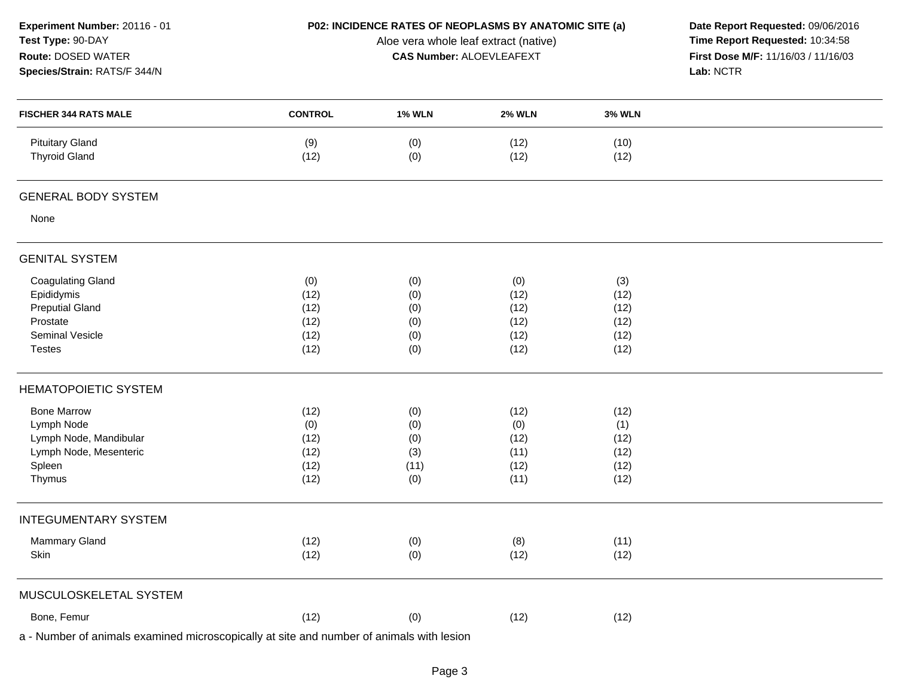| Experiment Number: 20116 - 01<br>Test Type: 90-DAY<br>Route: DOSED WATER<br>Species/Strain: RATS/F 344/N |                |               | P02: INCIDENCE RATES OF NEOPLASMS BY ANATOMIC SITE (a)<br>Aloe vera whole leaf extract (native)<br><b>CAS Number: ALOEVLEAFEXT</b> |               | Date Report Requested: 09/06/2016<br>Time Report Requested: 10:34:58<br>First Dose M/F: 11/16/03 / 11/16/03<br>Lab: NCTR |
|----------------------------------------------------------------------------------------------------------|----------------|---------------|------------------------------------------------------------------------------------------------------------------------------------|---------------|--------------------------------------------------------------------------------------------------------------------------|
| <b>FISCHER 344 RATS MALE</b>                                                                             | <b>CONTROL</b> | <b>1% WLN</b> | <b>2% WLN</b>                                                                                                                      | <b>3% WLN</b> |                                                                                                                          |
| <b>Pituitary Gland</b><br><b>Thyroid Gland</b>                                                           | (9)<br>(12)    | (0)<br>(0)    | (12)<br>(12)                                                                                                                       | (10)<br>(12)  |                                                                                                                          |
| <b>GENERAL BODY SYSTEM</b>                                                                               |                |               |                                                                                                                                    |               |                                                                                                                          |
| None                                                                                                     |                |               |                                                                                                                                    |               |                                                                                                                          |
| <b>GENITAL SYSTEM</b>                                                                                    |                |               |                                                                                                                                    |               |                                                                                                                          |
| <b>Coagulating Gland</b>                                                                                 | (0)            | (0)           | (0)                                                                                                                                | (3)           |                                                                                                                          |
| Epididymis                                                                                               | (12)           | (0)           | (12)                                                                                                                               | (12)          |                                                                                                                          |
| <b>Preputial Gland</b>                                                                                   | (12)           | (0)           | (12)                                                                                                                               | (12)          |                                                                                                                          |
| Prostate                                                                                                 | (12)           | (0)           | (12)                                                                                                                               | (12)          |                                                                                                                          |
| Seminal Vesicle                                                                                          | (12)           | (0)           | (12)                                                                                                                               | (12)          |                                                                                                                          |
| <b>Testes</b>                                                                                            | (12)           | (0)           | (12)                                                                                                                               | (12)          |                                                                                                                          |
| <b>HEMATOPOIETIC SYSTEM</b>                                                                              |                |               |                                                                                                                                    |               |                                                                                                                          |
| <b>Bone Marrow</b>                                                                                       | (12)           | (0)           | (12)                                                                                                                               | (12)          |                                                                                                                          |
| Lymph Node                                                                                               | (0)            | (0)           | (0)                                                                                                                                | (1)           |                                                                                                                          |
| Lymph Node, Mandibular                                                                                   | (12)           | (0)           | (12)                                                                                                                               | (12)          |                                                                                                                          |
| Lymph Node, Mesenteric                                                                                   | (12)           | (3)           | (11)                                                                                                                               | (12)          |                                                                                                                          |
| Spleen                                                                                                   | (12)           | (11)          | (12)                                                                                                                               | (12)          |                                                                                                                          |
| Thymus                                                                                                   | (12)           | (0)           | (11)                                                                                                                               | (12)          |                                                                                                                          |
| <b>INTEGUMENTARY SYSTEM</b>                                                                              |                |               |                                                                                                                                    |               |                                                                                                                          |
| Mammary Gland                                                                                            | (12)           | (0)           | (8)                                                                                                                                | (11)          |                                                                                                                          |
| Skin                                                                                                     | (12)           | (0)           | (12)                                                                                                                               | (12)          |                                                                                                                          |
| MUSCULOSKELETAL SYSTEM                                                                                   |                |               |                                                                                                                                    |               |                                                                                                                          |
| Bone, Femur                                                                                              | (12)           | (0)           | (12)                                                                                                                               | (12)          |                                                                                                                          |
| a - Number of animals examined microscopically at site and number of animals with lesion                 |                |               |                                                                                                                                    |               |                                                                                                                          |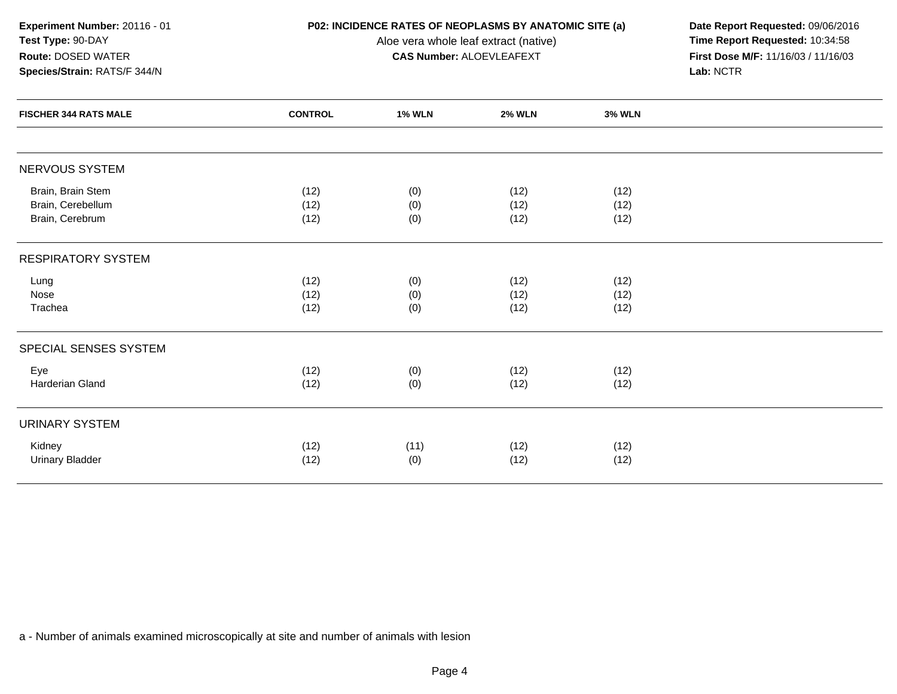**Experiment Number:** 20116 - 01**Test Type:** 90-DAY**Route:** DOSED WATER

# **Species/Strain:** RATS/F 344/N

Aloe vera whole leaf extract (native)<br>**CAS Number:** ALOEVLEAFEXT

**P02: INCIDENCE RATES OF NEOPLASMS BY ANATOMIC SITE (a)** Date Report Requested: 09/06/2016<br>Aloe vera whole leaf extract (native) **Time Report Requested:** 10:34:58 **First Dose M/F:** 11/16/03 / 11/16/03<br>Lab: NCTR **Lab:** NCTR

| <b>FISCHER 344 RATS MALE</b>                              | <b>CONTROL</b>       | <b>1% WLN</b>     | <b>2% WLN</b>        | <b>3% WLN</b>        |  |
|-----------------------------------------------------------|----------------------|-------------------|----------------------|----------------------|--|
|                                                           |                      |                   |                      |                      |  |
| NERVOUS SYSTEM                                            |                      |                   |                      |                      |  |
| Brain, Brain Stem<br>Brain, Cerebellum<br>Brain, Cerebrum | (12)<br>(12)<br>(12) | (0)<br>(0)<br>(0) | (12)<br>(12)<br>(12) | (12)<br>(12)<br>(12) |  |
| <b>RESPIRATORY SYSTEM</b>                                 |                      |                   |                      |                      |  |
| Lung<br>Nose<br>Trachea                                   | (12)<br>(12)<br>(12) | (0)<br>(0)<br>(0) | (12)<br>(12)<br>(12) | (12)<br>(12)<br>(12) |  |
| SPECIAL SENSES SYSTEM                                     |                      |                   |                      |                      |  |
| Eye<br>Harderian Gland                                    | (12)<br>(12)         | (0)<br>(0)        | (12)<br>(12)         | (12)<br>(12)         |  |
| <b>URINARY SYSTEM</b>                                     |                      |                   |                      |                      |  |
| Kidney<br><b>Urinary Bladder</b>                          | (12)<br>(12)         | (11)<br>(0)       | (12)<br>(12)         | (12)<br>(12)         |  |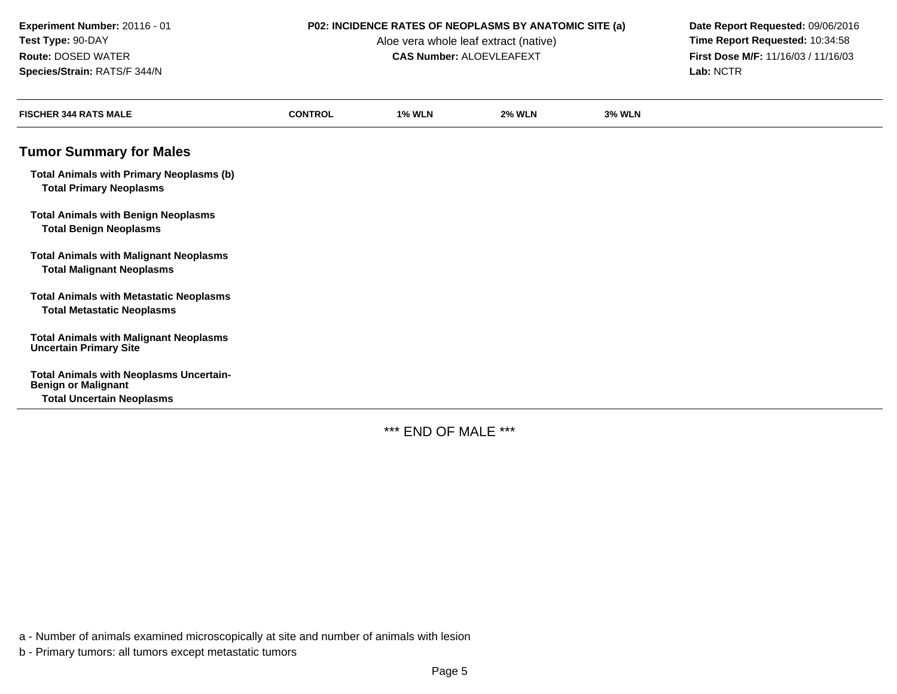Aloe vera whole leaf extract (native)<br>**CAS Number:** ALOEVLEAFEXT

**P02: INCIDENCE RATES OF NEOPLASMS BY ANATOMIC SITE (a)** Date Report Requested: 09/06/2016<br>Aloe vera whole leaf extract (native) **Time Report Requested:** 10:34:58 **First Dose M/F:** 11/16/03 / 11/16/03<br>Lab: NCTR **Lab:** NCTR

| <b>FISCHER 344 RATS MALE</b>                                                        | <b>CONTROL</b> | <b>1% WLN</b> | <b>2% WLN</b> | <b>3% WLN</b> |
|-------------------------------------------------------------------------------------|----------------|---------------|---------------|---------------|
| <b>Tumor Summary for Males</b>                                                      |                |               |               |               |
| <b>Total Animals with Primary Neoplasms (b)</b><br><b>Total Primary Neoplasms</b>   |                |               |               |               |
| <b>Total Animals with Benign Neoplasms</b><br><b>Total Benign Neoplasms</b>         |                |               |               |               |
| <b>Total Animals with Malignant Neoplasms</b><br><b>Total Malignant Neoplasms</b>   |                |               |               |               |
| <b>Total Animals with Metastatic Neoplasms</b><br><b>Total Metastatic Neoplasms</b> |                |               |               |               |
| <b>Total Animals with Malignant Neoplasms</b><br><b>Uncertain Primary Site</b>      |                |               |               |               |
| <b>Total Animals with Neoplasms Uncertain-</b><br><b>Benign or Malignant</b>        |                |               |               |               |
| <b>Total Uncertain Neoplasms</b>                                                    |                |               |               |               |

\*\*\* END OF MALE \*\*\*

a - Number of animals examined microscopically at site and number of animals with lesion

b - Primary tumors: all tumors except metastatic tumors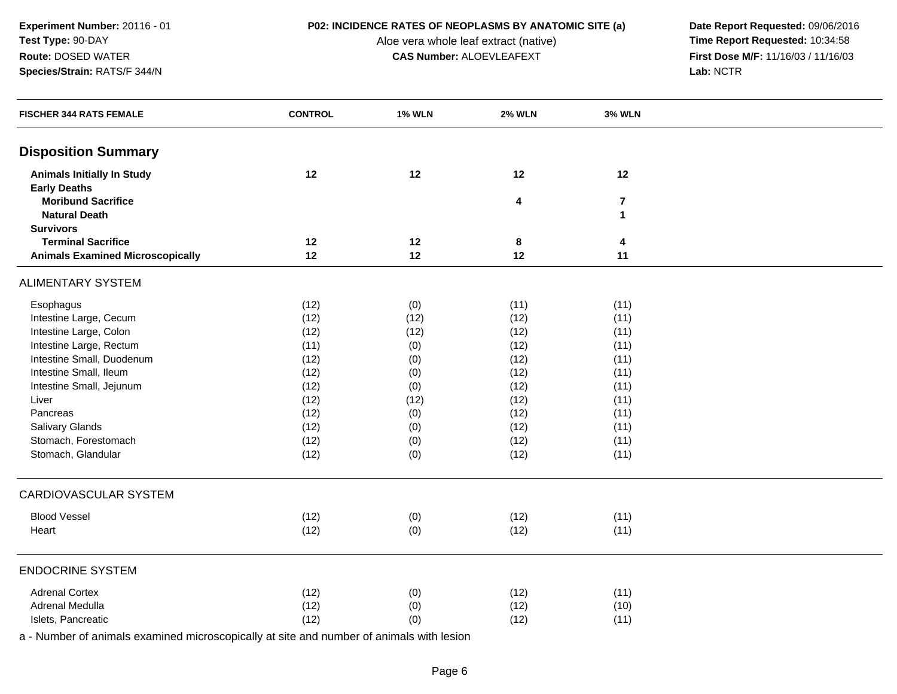**P02: INCIDENCE RATES OF NEOPLASMS BY ANATOMIC SITE (a)** Date Report Requested: 09/06/2016<br>Aloe vera whole leaf extract (native) **Time Report Requested:** 10:34:58 Aloe vera whole leaf extract (native) **Time Report Requested:** 10:34:58<br>**CAS Number:** ALOEVLEAFEXT **The Report Requested:** 11/16/03 / 11/16/03 **CAS Number:** ALOEVLEAFEXT **First Dose Microsoft CAS Number:** ALOEVLEAFEXT **Lab:** NCTR

| <b>FISCHER 344 RATS FEMALE</b>                           | <b>CONTROL</b> | <b>1% WLN</b> | <b>2% WLN</b> | <b>3% WLN</b>  |  |
|----------------------------------------------------------|----------------|---------------|---------------|----------------|--|
| <b>Disposition Summary</b>                               |                |               |               |                |  |
| <b>Animals Initially In Study</b><br><b>Early Deaths</b> | 12             | 12            | 12            | 12             |  |
| <b>Moribund Sacrifice</b>                                |                |               | 4             | $\overline{7}$ |  |
| <b>Natural Death</b>                                     |                |               |               | $\mathbf{1}$   |  |
| <b>Survivors</b>                                         |                |               |               |                |  |
| <b>Terminal Sacrifice</b>                                | 12             | 12            | 8             | 4              |  |
| <b>Animals Examined Microscopically</b>                  | 12             | 12            | 12            | 11             |  |
| <b>ALIMENTARY SYSTEM</b>                                 |                |               |               |                |  |
| Esophagus                                                | (12)           | (0)           | (11)          | (11)           |  |
| Intestine Large, Cecum                                   | (12)           | (12)          | (12)          | (11)           |  |
| Intestine Large, Colon                                   | (12)           | (12)          | (12)          | (11)           |  |
| Intestine Large, Rectum                                  | (11)           | (0)           | (12)          | (11)           |  |
| Intestine Small, Duodenum                                | (12)           | (0)           | (12)          | (11)           |  |
| Intestine Small, Ileum                                   | (12)           | (0)           | (12)          | (11)           |  |
| Intestine Small, Jejunum                                 | (12)           | (0)           | (12)          | (11)           |  |
| Liver                                                    | (12)           | (12)          | (12)          | (11)           |  |
| Pancreas                                                 | (12)           | (0)           | (12)          | (11)           |  |
| Salivary Glands                                          | (12)           | (0)           | (12)          | (11)           |  |
| Stomach, Forestomach                                     | (12)           | (0)           | (12)          | (11)           |  |
| Stomach, Glandular                                       | (12)           | (0)           | (12)          | (11)           |  |
| CARDIOVASCULAR SYSTEM                                    |                |               |               |                |  |
| <b>Blood Vessel</b>                                      | (12)           | (0)           | (12)          | (11)           |  |
| Heart                                                    | (12)           | (0)           | (12)          | (11)           |  |
| <b>ENDOCRINE SYSTEM</b>                                  |                |               |               |                |  |
| <b>Adrenal Cortex</b>                                    | (12)           | (0)           | (12)          | (11)           |  |
| Adrenal Medulla                                          | (12)           | (0)           | (12)          | (10)           |  |
| Islets, Pancreatic                                       | (12)           | (0)           | (12)          | (11)           |  |
|                                                          |                |               |               |                |  |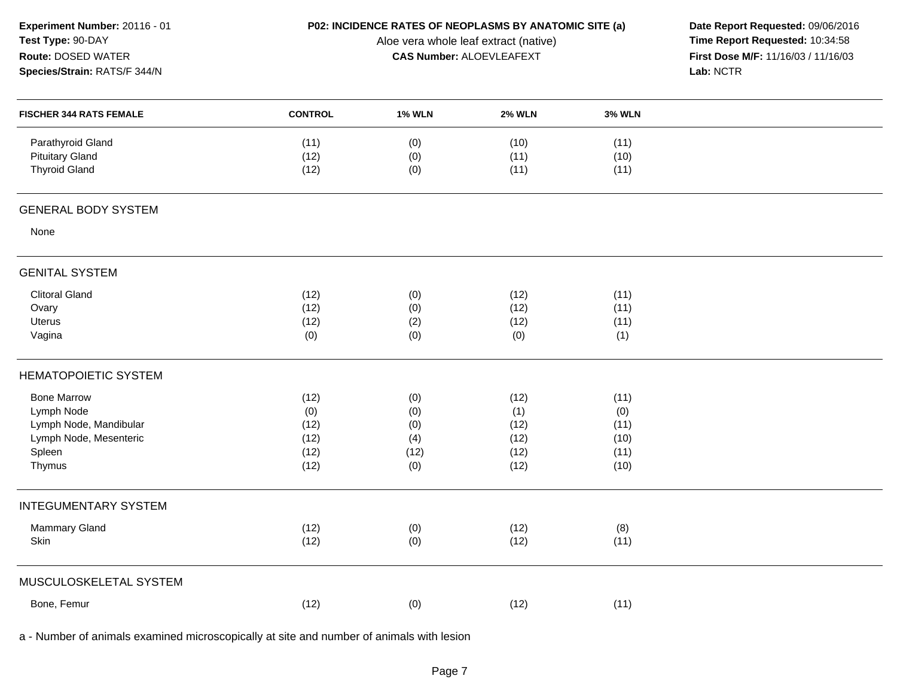| Experiment Number: 20116 - 01<br>Test Type: 90-DAY |                | P02: INCIDENCE RATES OF NEOPLASMS BY ANATOMIC SITE (a)<br>Date Report Requested: 09/06/2016<br>Time Report Requested: 10:34:58<br>Aloe vera whole leaf extract (native) |                                     |               |           |  |
|----------------------------------------------------|----------------|-------------------------------------------------------------------------------------------------------------------------------------------------------------------------|-------------------------------------|---------------|-----------|--|
| Route: DOSED WATER                                 |                | <b>CAS Number: ALOEVLEAFEXT</b>                                                                                                                                         | First Dose M/F: 11/16/03 / 11/16/03 |               |           |  |
| Species/Strain: RATS/F 344/N                       |                |                                                                                                                                                                         |                                     |               | Lab: NCTR |  |
| <b>FISCHER 344 RATS FEMALE</b>                     | <b>CONTROL</b> | <b>1% WLN</b>                                                                                                                                                           | <b>2% WLN</b>                       | <b>3% WLN</b> |           |  |
| Parathyroid Gland                                  | (11)           | (0)                                                                                                                                                                     | (10)                                | (11)          |           |  |
| <b>Pituitary Gland</b>                             | (12)           | (0)                                                                                                                                                                     | (11)                                | (10)          |           |  |
| <b>Thyroid Gland</b>                               | (12)           | (0)                                                                                                                                                                     | (11)                                | (11)          |           |  |
| <b>GENERAL BODY SYSTEM</b>                         |                |                                                                                                                                                                         |                                     |               |           |  |
| None                                               |                |                                                                                                                                                                         |                                     |               |           |  |
| <b>GENITAL SYSTEM</b>                              |                |                                                                                                                                                                         |                                     |               |           |  |
| <b>Clitoral Gland</b>                              | (12)           | (0)                                                                                                                                                                     | (12)                                | (11)          |           |  |
| Ovary                                              | (12)           | (0)                                                                                                                                                                     | (12)                                | (11)          |           |  |
| Uterus                                             | (12)           | (2)                                                                                                                                                                     | (12)                                | (11)          |           |  |
| Vagina                                             | (0)            | (0)                                                                                                                                                                     | (0)                                 | (1)           |           |  |
| <b>HEMATOPOIETIC SYSTEM</b>                        |                |                                                                                                                                                                         |                                     |               |           |  |
| <b>Bone Marrow</b>                                 | (12)           | (0)                                                                                                                                                                     | (12)                                | (11)          |           |  |
| Lymph Node                                         | (0)            | (0)                                                                                                                                                                     | (1)                                 | (0)           |           |  |
| Lymph Node, Mandibular                             | (12)           | (0)                                                                                                                                                                     | (12)                                | (11)          |           |  |
| Lymph Node, Mesenteric                             | (12)           | (4)                                                                                                                                                                     | (12)                                | (10)          |           |  |
| Spleen                                             | (12)           | (12)                                                                                                                                                                    | (12)                                | (11)          |           |  |
| Thymus                                             | (12)           | (0)                                                                                                                                                                     | (12)                                | (10)          |           |  |
| <b>INTEGUMENTARY SYSTEM</b>                        |                |                                                                                                                                                                         |                                     |               |           |  |
| Mammary Gland                                      | (12)           | (0)                                                                                                                                                                     | (12)                                | (8)           |           |  |
| Skin                                               | (12)           | (0)                                                                                                                                                                     | (12)                                | (11)          |           |  |
| MUSCULOSKELETAL SYSTEM                             |                |                                                                                                                                                                         |                                     |               |           |  |
| Bone, Femur                                        | (12)           | (0)                                                                                                                                                                     | (12)                                | (11)          |           |  |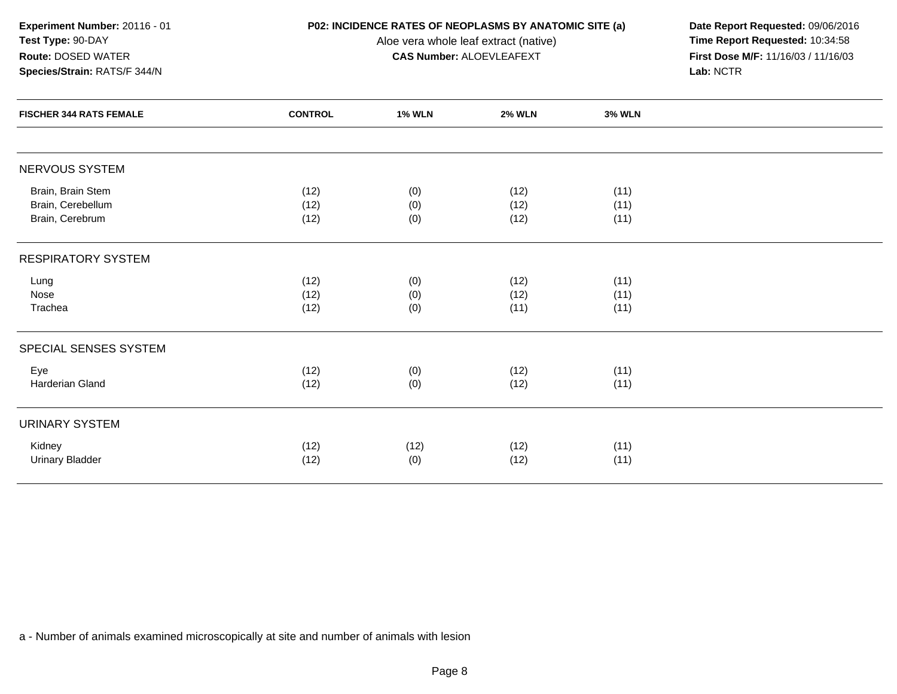**Experiment Number:** 20116 - 01**Test Type:** 90-DAY**Route:** DOSED WATER

**Species/Strain:** RATS/F 344/N

Aloe vera whole leaf extract (native)<br>**CAS Number:** ALOEVLEAFEXT

**P02: INCIDENCE RATES OF NEOPLASMS BY ANATOMIC SITE (a)** Date Report Requested: 09/06/2016<br>Aloe vera whole leaf extract (native) **Time Report Requested:** 10:34:58 **First Dose M/F:** 11/16/03 / 11/16/03<br>Lab: NCTR **Lab:** NCTR

| <b>FISCHER 344 RATS FEMALE</b>                            | <b>CONTROL</b>       | <b>1% WLN</b>     | <b>2% WLN</b>        | <b>3% WLN</b>        |
|-----------------------------------------------------------|----------------------|-------------------|----------------------|----------------------|
|                                                           |                      |                   |                      |                      |
| NERVOUS SYSTEM                                            |                      |                   |                      |                      |
| Brain, Brain Stem<br>Brain, Cerebellum<br>Brain, Cerebrum | (12)<br>(12)<br>(12) | (0)<br>(0)<br>(0) | (12)<br>(12)<br>(12) | (11)<br>(11)<br>(11) |
| <b>RESPIRATORY SYSTEM</b>                                 |                      |                   |                      |                      |
| Lung<br>Nose<br>Trachea                                   | (12)<br>(12)<br>(12) | (0)<br>(0)<br>(0) | (12)<br>(12)<br>(11) | (11)<br>(11)<br>(11) |
| SPECIAL SENSES SYSTEM                                     |                      |                   |                      |                      |
| Eye<br>Harderian Gland                                    | (12)<br>(12)         | (0)<br>(0)        | (12)<br>(12)         | (11)<br>(11)         |
| <b>URINARY SYSTEM</b>                                     |                      |                   |                      |                      |
| Kidney<br><b>Urinary Bladder</b>                          | (12)<br>(12)         | (12)<br>(0)       | (12)<br>(12)         | (11)<br>(11)         |